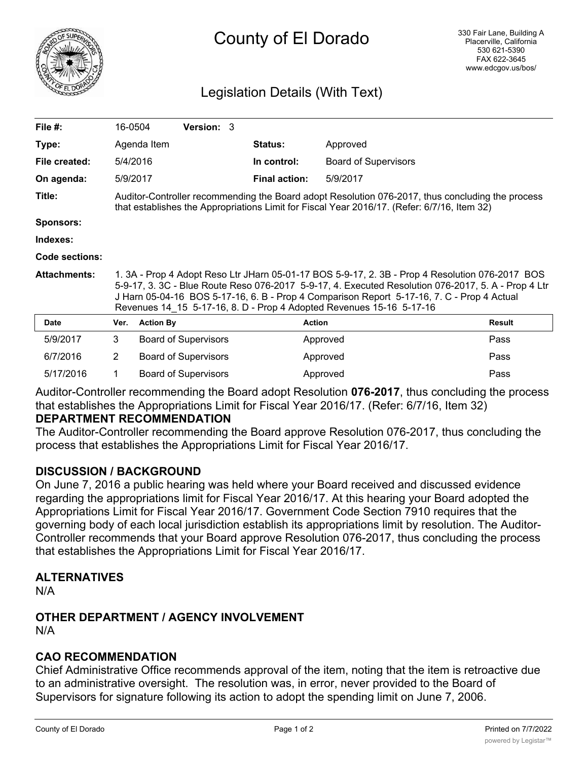

# County of El Dorado

## Legislation Details (With Text)

| File $#$ :            | 16-0504                                                                                                                                                                                                                                                                                                                                                                      |                  | <b>Version: 3</b>           |                      |                             |        |
|-----------------------|------------------------------------------------------------------------------------------------------------------------------------------------------------------------------------------------------------------------------------------------------------------------------------------------------------------------------------------------------------------------------|------------------|-----------------------------|----------------------|-----------------------------|--------|
| Type:                 |                                                                                                                                                                                                                                                                                                                                                                              | Agenda Item      |                             | <b>Status:</b>       | Approved                    |        |
| File created:         |                                                                                                                                                                                                                                                                                                                                                                              | 5/4/2016         |                             | In control:          | <b>Board of Supervisors</b> |        |
| On agenda:            |                                                                                                                                                                                                                                                                                                                                                                              | 5/9/2017         |                             | <b>Final action:</b> | 5/9/2017                    |        |
| Title:                | Auditor-Controller recommending the Board adopt Resolution 076-2017, thus concluding the process<br>that establishes the Appropriations Limit for Fiscal Year 2016/17. (Refer: 6/7/16, Item 32)                                                                                                                                                                              |                  |                             |                      |                             |        |
| <b>Sponsors:</b>      |                                                                                                                                                                                                                                                                                                                                                                              |                  |                             |                      |                             |        |
| Indexes:              |                                                                                                                                                                                                                                                                                                                                                                              |                  |                             |                      |                             |        |
| <b>Code sections:</b> |                                                                                                                                                                                                                                                                                                                                                                              |                  |                             |                      |                             |        |
| <b>Attachments:</b>   | 1. 3A - Prop 4 Adopt Reso Ltr JHarn 05-01-17 BOS 5-9-17, 2. 3B - Prop 4 Resolution 076-2017 BOS<br>5-9-17, 3. 3C - Blue Route Reso 076-2017 5-9-17, 4. Executed Resolution 076-2017, 5. A - Prop 4 Ltr<br>J Harn 05-04-16 BOS 5-17-16, 6. B - Prop 4 Comparison Report 5-17-16, 7. C - Prop 4 Actual<br>Revenues 14 15 5-17-16, 8. D - Prop 4 Adopted Revenues 15-16 5-17-16 |                  |                             |                      |                             |        |
| <b>Date</b>           | Ver.                                                                                                                                                                                                                                                                                                                                                                         | <b>Action By</b> |                             | <b>Action</b>        |                             | Result |
| 5/9/2017              | 3                                                                                                                                                                                                                                                                                                                                                                            |                  | <b>Board of Supervisors</b> |                      | Approved                    | Pass   |
| 6/7/2016              | 2                                                                                                                                                                                                                                                                                                                                                                            |                  | <b>Board of Supervisors</b> |                      | Approved                    | Pass   |

Auditor-Controller recommending the Board adopt Resolution **076-2017**, thus concluding the process that establishes the Appropriations Limit for Fiscal Year 2016/17. (Refer: 6/7/16, Item 32)

5/17/2016 1 Board of Supervisors **Approved** Pass

## **DEPARTMENT RECOMMENDATION**

The Auditor-Controller recommending the Board approve Resolution 076-2017, thus concluding the process that establishes the Appropriations Limit for Fiscal Year 2016/17.

## **DISCUSSION / BACKGROUND**

On June 7, 2016 a public hearing was held where your Board received and discussed evidence regarding the appropriations limit for Fiscal Year 2016/17. At this hearing your Board adopted the Appropriations Limit for Fiscal Year 2016/17. Government Code Section 7910 requires that the governing body of each local jurisdiction establish its appropriations limit by resolution. The Auditor-Controller recommends that your Board approve Resolution 076-2017, thus concluding the process that establishes the Appropriations Limit for Fiscal Year 2016/17.

## **ALTERNATIVES**

N/A

## **OTHER DEPARTMENT / AGENCY INVOLVEMENT**

N/A

## **CAO RECOMMENDATION**

Chief Administrative Office recommends approval of the item, noting that the item is retroactive due to an administrative oversight. The resolution was, in error, never provided to the Board of Supervisors for signature following its action to adopt the spending limit on June 7, 2006.